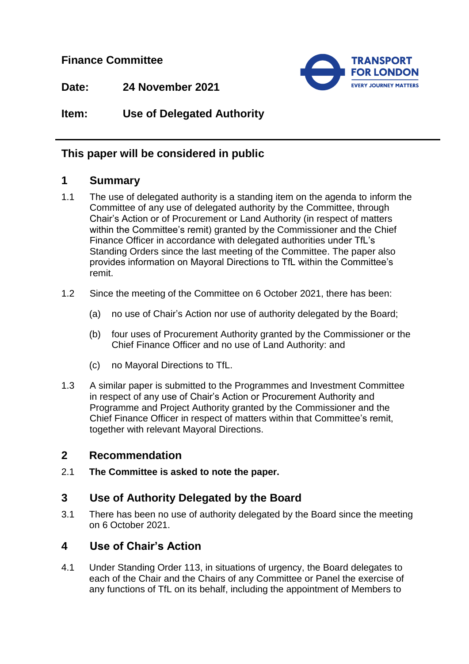**Finance Committee**



**Date: 24 November 2021**

# **Item: Use of Delegated Authority**

# **This paper will be considered in public**

## **1 Summary**

- 1.1 The use of delegated authority is a standing item on the agenda to inform the Committee of any use of delegated authority by the Committee, through Chair's Action or of Procurement or Land Authority (in respect of matters within the Committee's remit) granted by the Commissioner and the Chief Finance Officer in accordance with delegated authorities under TfL's Standing Orders since the last meeting of the Committee. The paper also provides information on Mayoral Directions to TfL within the Committee's remit.
- 1.2 Since the meeting of the Committee on 6 October 2021, there has been:
	- (a) no use of Chair's Action nor use of authority delegated by the Board;
	- (b) four uses of Procurement Authority granted by the Commissioner or the Chief Finance Officer and no use of Land Authority: and
	- (c) no Mayoral Directions to TfL.
- 1.3 A similar paper is submitted to the Programmes and Investment Committee in respect of any use of Chair's Action or Procurement Authority and Programme and Project Authority granted by the Commissioner and the Chief Finance Officer in respect of matters within that Committee's remit, together with relevant Mayoral Directions.

## **2 Recommendation**

2.1 **The Committee is asked to note the paper.** 

## **3 Use of Authority Delegated by the Board**

3.1 There has been no use of authority delegated by the Board since the meeting on 6 October 2021.

## **4 Use of Chair's Action**

4.1 Under Standing Order 113, in situations of urgency, the Board delegates to each of the Chair and the Chairs of any Committee or Panel the exercise of any functions of TfL on its behalf, including the appointment of Members to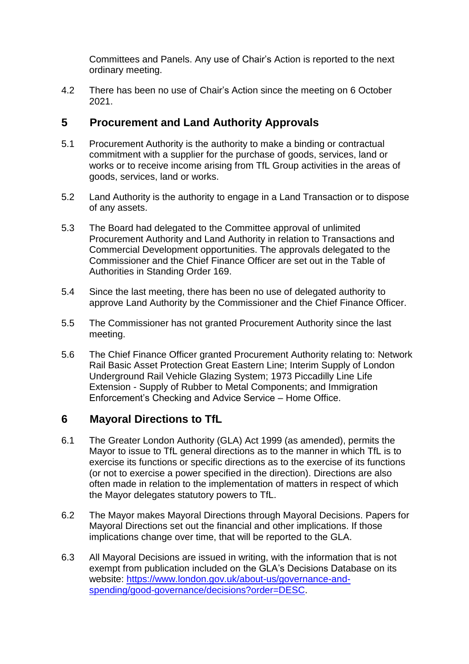Committees and Panels. Any use of Chair's Action is reported to the next ordinary meeting.

4.2 There has been no use of Chair's Action since the meeting on 6 October 2021.

## **5 Procurement and Land Authority Approvals**

- 5.1 Procurement Authority is the authority to make a binding or contractual commitment with a supplier for the purchase of goods, services, land or works or to receive income arising from TfL Group activities in the areas of goods, services, land or works.
- 5.2 Land Authority is the authority to engage in a Land Transaction or to dispose of any assets.
- 5.3 The Board had delegated to the Committee approval of unlimited Procurement Authority and Land Authority in relation to Transactions and Commercial Development opportunities. The approvals delegated to the Commissioner and the Chief Finance Officer are set out in the Table of Authorities in Standing Order 169.
- 5.4 Since the last meeting, there has been no use of delegated authority to approve Land Authority by the Commissioner and the Chief Finance Officer.
- 5.5 The Commissioner has not granted Procurement Authority since the last meeting.
- 5.6 The Chief Finance Officer granted Procurement Authority relating to: Network Rail Basic Asset Protection Great Eastern Line; Interim Supply of London Underground Rail Vehicle Glazing System; 1973 Piccadilly Line Life Extension - Supply of Rubber to Metal Components; and Immigration Enforcement's Checking and Advice Service – Home Office.

## **6 Mayoral Directions to TfL**

- 6.1 The Greater London Authority (GLA) Act 1999 (as amended), permits the Mayor to issue to TfL general directions as to the manner in which TfL is to exercise its functions or specific directions as to the exercise of its functions (or not to exercise a power specified in the direction). Directions are also often made in relation to the implementation of matters in respect of which the Mayor delegates statutory powers to TfL.
- 6.2 The Mayor makes Mayoral Directions through Mayoral Decisions. Papers for Mayoral Directions set out the financial and other implications. If those implications change over time, that will be reported to the GLA.
- 6.3 All Mayoral Decisions are issued in writing, with the information that is not exempt from publication included on the GLA's Decisions Database on its website: [https://www.london.gov.uk/about-us/governance-and](https://www.london.gov.uk/about-us/governance-and-spending/good-governance/decisions?order=DESC)[spending/good-governance/decisions?order=DESC.](https://www.london.gov.uk/about-us/governance-and-spending/good-governance/decisions?order=DESC)